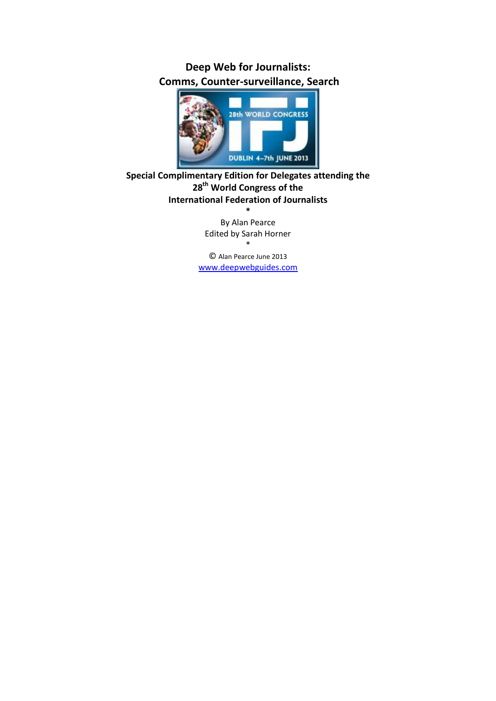# **Deep Web for Journalists: Comms, Counter-surveillance, Search**



**Special Complimentary Edition for Delegates attending the 28th World Congress of the International Federation of Journalists**

> **\*** By Alan Pearce Edited by Sarah Horner \* © Alan Pearce June 2013 [www.deepwebguides.com](http://www.deepwebguides.com/)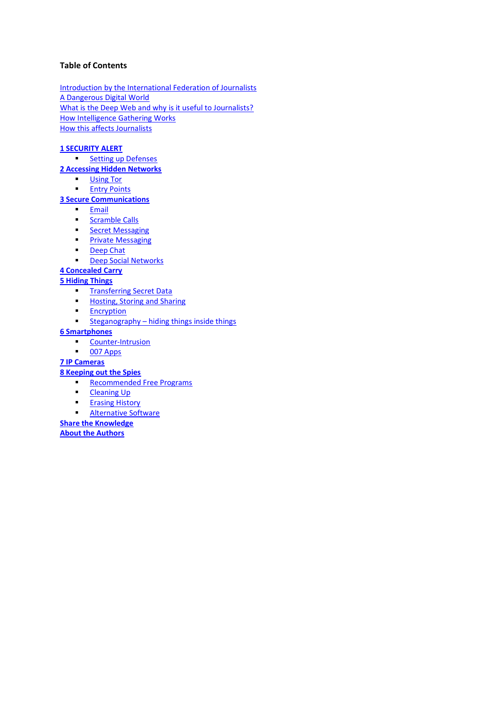#### <span id="page-1-0"></span>**Table of Contents**

Introduction [by the International Federation of Journalists](#page-2-0) [A Dangerous Digital World](#page-3-0) [What is the Deep Web and why is it useful to Journalists?](#page-5-0) [How Intelligence Gathering Works](#page-6-0) [How this affects Journalists](#page-8-0)

#### **[1 SECURITY](#page-9-0) ALERT**

# **[Setting up Defenses](#page-9-1)**

- **[2 Accessing Hidden Networks](#page-12-0)**
	- **[Using Tor](#page-13-0)**
	- **[Entry Points](#page-13-1)**

# **[3 Secure Communications](#page-14-0)**

- $E$ mail
- **[Scramble Calls](#page-15-0)**
- **[Secret Messaging](#page-15-1)**
- **[Private Messaging](#page-15-2)**
- [Deep Chat](#page-15-3)
- **Deep Social Networks**

# **[4 Concealed Carry](#page-17-0)**

# **5 [Hiding Things](#page-19-0)**

- **[Transferring Secret Data](#page-19-1)**
- **[Hosting, Storing and](#page-19-2) Sharing**
- **[Encryption](#page-19-3)**
- **Steganography [hiding things inside things](#page-20-0)**

# **[6 Smartphones](#page-21-0)**

- [Counter-Intrusion](#page-21-1)
- [007 Apps](#page-22-0)

# **[7 IP Cameras](#page-25-0)**

# **8 [Keeping out the Spies](#page-26-0)**

- [Recommended Free Programs](#page-27-0)
- **-** [Cleaning Up](#page-27-1)
- **Example History**
- **[Alternative Software](#page-28-1)**

#### **[Share the Knowledge](#page-28-2)**

**[About the Authors](#page-29-0)**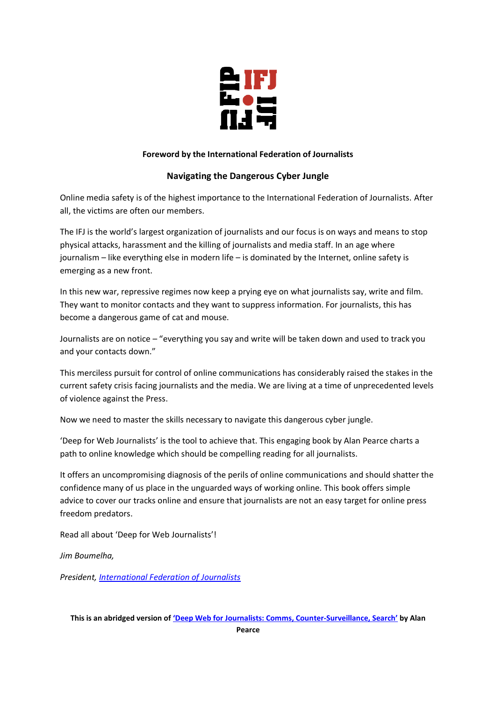

# <span id="page-2-0"></span>**Foreword by the International Federation of Journalists**

# **Navigating the Dangerous Cyber Jungle**

Online media safety is of the highest importance to the International Federation of Journalists. After all, the victims are often our members.

The IFJ is the world's largest organization of journalists and our focus is on ways and means to stop physical attacks, harassment and the killing of journalists and media staff. In an age where journalism – like everything else in modern life – is dominated by the Internet, online safety is emerging as a new front.

In this new war, repressive regimes now keep a prying eye on what journalists say, write and film. They want to monitor contacts and they want to suppress information. For journalists, this has become a dangerous game of cat and mouse.

Journalists are on notice – "everything you say and write will be taken down and used to track you and your contacts down."

This merciless pursuit for control of online communications has considerably raised the stakes in the current safety crisis facing journalists and the media. We are living at a time of unprecedented levels of violence against the Press.

Now we need to master the skills necessary to navigate this dangerous cyber jungle.

'Deep for Web Journalists' is the tool to achieve that. This engaging book by Alan Pearce charts a path to online knowledge which should be compelling reading for all journalists.

It offers an uncompromising diagnosis of the perils of online communications and should shatter the confidence many of us place in the unguarded ways of working online. This book offers simple advice to cover our tracks online and ensure that journalists are not an easy target for online press freedom predators.

Read all about 'Deep for Web Journalists'!

*Jim Boumelha,*

*President, [International Federation of](http://www.ifj.org/en) Journalists*

**This is an abridged version of ['Deep Web for Journalists: Comms, Coun](http://www.deepwebguides.com/html/deep_web_for_journalists.html)ter-Surveillance, Search' by Alan**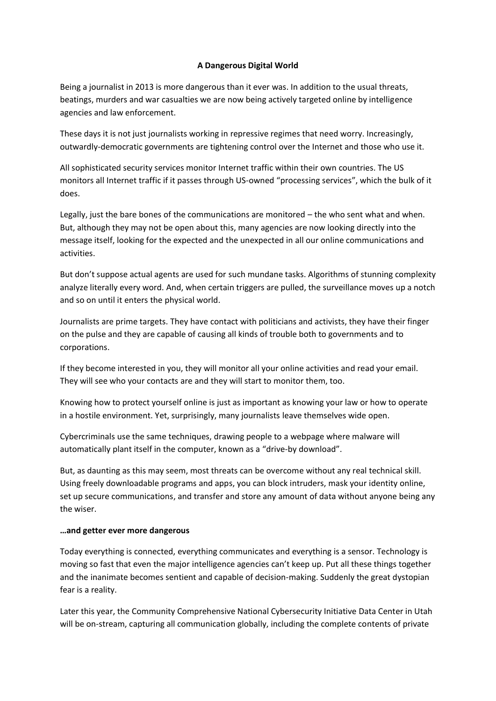## **A Dangerous Digital World**

<span id="page-3-0"></span>Being a journalist in 2013 is more dangerous than it ever was. In addition to the usual threats, beatings, murders and war casualties we are now being actively targeted online by intelligence agencies and law enforcement.

These days it is not just journalists working in repressive regimes that need worry. Increasingly, outwardly-democratic governments are tightening control over the Internet and those who use it.

All sophisticated security services monitor Internet traffic within their own countries. The US monitors all Internet traffic if it passes through US-owned "processing services", which the bulk of it does.

Legally, just the bare bones of the communications are monitored – the who sent what and when. But, although they may not be open about this, many agencies are now looking directly into the message itself, looking for the expected and the unexpected in all our online communications and activities.

But don't suppose actual agents are used for such mundane tasks. Algorithms of stunning complexity analyze literally every word. And, when certain triggers are pulled, the surveillance moves up a notch and so on until it enters the physical world.

Journalists are prime targets. They have contact with politicians and activists, they have their finger on the pulse and they are capable of causing all kinds of trouble both to governments and to corporations.

If they become interested in you, they will monitor all your online activities and read your email. They will see who your contacts are and they will start to monitor them, too.

Knowing how to protect yourself online is just as important as knowing your law or how to operate in a hostile environment. Yet, surprisingly, many journalists leave themselves wide open.

Cybercriminals use the same techniques, drawing people to a webpage where malware will automatically plant itself in the computer, known as a "drive-by download".

But, as daunting as this may seem, most threats can be overcome without any real technical skill. Using freely downloadable programs and apps, you can block intruders, mask your identity online, set up secure communications, and transfer and store any amount of data without anyone being any the wiser.

#### **…and getter ever more dangerous**

Today everything is connected, everything communicates and everything is a sensor. Technology is moving so fast that even the major intelligence agencies can't keep up. Put all these things together and the inanimate becomes sentient and capable of decision-making. Suddenly the great dystopian fear is a reality.

Later this year, the Community Comprehensive National Cybersecurity Initiative Data Center in Utah will be on-stream, capturing all communication globally, including the complete contents of private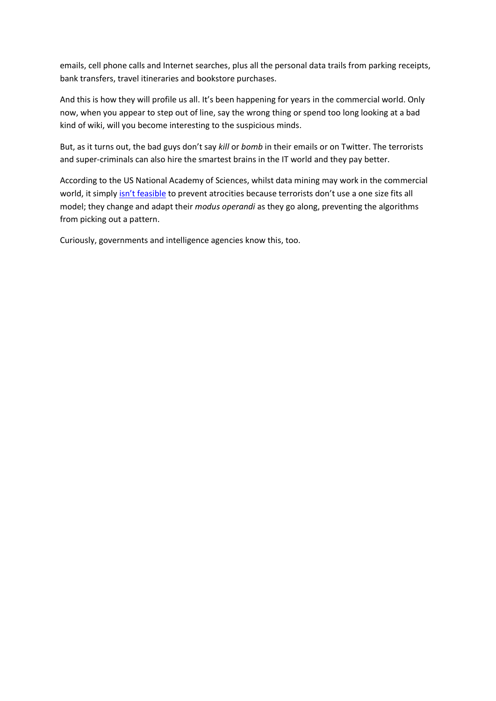emails, cell phone calls and Internet searches, plus all the personal data trails from parking receipts, bank transfers, travel itineraries and bookstore purchases.

And this is how they will profile us all. It's been happening for years in the commercial world. Only now, when you appear to step out of line, say the wrong thing or spend too long looking at a bad kind of wiki, will you become interesting to the suspicious minds.

But, as it turns out, the bad guys don't say *kill* or *bomb* in their emails or on Twitter. The terrorists and super-criminals can also hire the smartest brains in the IT world and they pay better.

According to the US National Academy of Sciences, whilst data mining may work in the commercial world, it simply [isn't feasible](http://books.nap.edu/catalog.php?record_id=12452#toc) to prevent atrocities because terrorists don't use a one size fits all model; they change and adapt their *modus operandi* as they go along, preventing the algorithms from picking out a pattern.

Curiously, governments and intelligence agencies know this, too.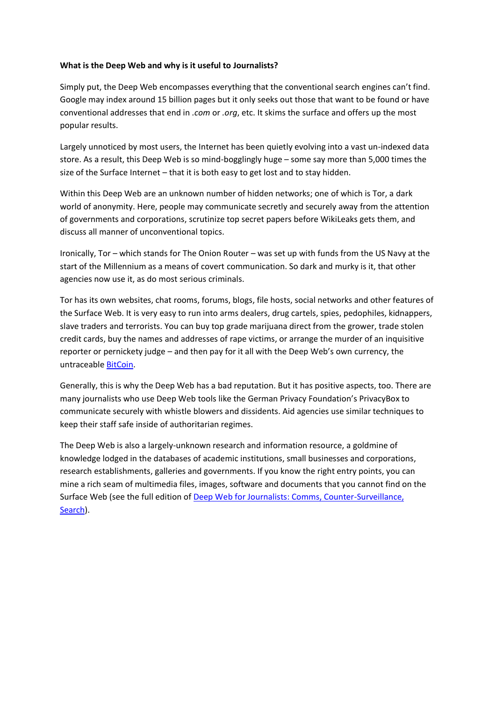## <span id="page-5-0"></span>**What is the Deep Web and why is it useful to Journalists?**

Simply put, the Deep Web encompasses everything that the conventional search engines can't find. Google may index around 15 billion pages but it only seeks out those that want to be found or have conventional addresses that end in *.com* or *.org*, etc. It skims the surface and offers up the most popular results.

Largely unnoticed by most users, the Internet has been quietly evolving into a vast un-indexed data store. As a result, this Deep Web is so mind-bogglingly huge – some say more than 5,000 times the size of the Surface Internet – that it is both easy to get lost and to stay hidden.

Within this Deep Web are an unknown number of hidden networks; one of which is Tor, a dark world of anonymity. Here, people may communicate secretly and securely away from the attention of governments and corporations, scrutinize top secret papers before WikiLeaks gets them, and discuss all manner of unconventional topics.

Ironically, Tor – which stands for The Onion Router – was set up with funds from the US Navy at the start of the Millennium as a means of covert communication. So dark and murky is it, that other agencies now use it, as do most serious criminals.

Tor has its own websites, chat rooms, forums, blogs, file hosts, social networks and other features of the Surface Web. It is very easy to run into arms dealers, drug cartels, spies, pedophiles, kidnappers, slave traders and terrorists. You can buy top grade marijuana direct from the grower, trade stolen credit cards, buy the names and addresses of rape victims, or arrange the murder of an inquisitive reporter or pernickety judge – and then pay for it all with the Deep Web's own currency, the untraceable [BitCoin.](http://techtivist.com/2013/04/03/if-you-dont-trust-the-banks-go-digital/)

Generally, this is why the Deep Web has a bad reputation. But it has positive aspects, too. There are many journalists who use Deep Web tools like the German Privacy Foundation's PrivacyBox to communicate securely with whistle blowers and dissidents. Aid agencies use similar techniques to keep their staff safe inside of authoritarian regimes.

The Deep Web is also a largely-unknown research and information resource, a goldmine of knowledge lodged in the databases of academic institutions, small businesses and corporations, research establishments, galleries and governments. If you know the right entry points, you can mine a rich seam of multimedia files, images, software and documents that you cannot find on the Surface Web (see the full edition of [Deep Web for Journalists: Comms, Counter-Surveillance,](http://www.deepwebguides.com/html/deep_web_for_journalists.html)  [Search\)](http://www.deepwebguides.com/html/deep_web_for_journalists.html).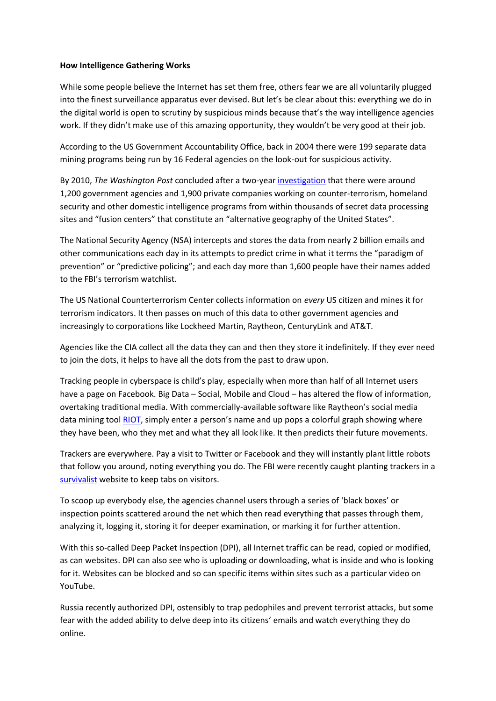#### <span id="page-6-0"></span>**How Intelligence Gathering Works**

While some people believe the Internet has set them free, others fear we are all voluntarily plugged into the finest surveillance apparatus ever devised. But let's be clear about this: everything we do in the digital world is open to scrutiny by suspicious minds because that's the way intelligence agencies work. If they didn't make use of this amazing opportunity, they wouldn't be very good at their job.

According to the US Government Accountability Office, back in 2004 there were 199 separate data mining programs being run by 16 Federal agencies on the look-out for suspicious activity.

By 2010, *The Washington Post* concluded after a two-year [investigation](http://projects.washingtonpost.com/top-secret-america/) that there were around 1,200 government agencies and 1,900 private companies working on counter-terrorism, homeland security and other domestic intelligence programs from within thousands of secret data processing sites and "fusion centers" that constitute an "alternative geography of the United States".

The National Security Agency (NSA) intercepts and stores the data from nearly 2 billion emails and other communications each day in its attempts to predict crime in what it terms the "paradigm of prevention" or "predictive policing"; and each day more than 1,600 people have their names added to the FBI's terrorism watchlist.

The US National Counterterrorism Center collects information on *every* US citizen and mines it for terrorism indicators. It then passes on much of this data to other government agencies and increasingly to corporations like Lockheed Martin, Raytheon, CenturyLink and AT&T.

Agencies like the CIA collect all the data they can and then they store it indefinitely. If they ever need to join the dots, it helps to have all the dots from the past to draw upon.

Tracking people in cyberspace is child's play, especially when more than half of all Internet users have a page on Facebook. Big Data – Social, Mobile and Cloud – has altered the flow of information, overtaking traditional media. With commercially-available software like Raytheon's social media data mining tool [RIOT,](http://www.youtube.com/watch?v=7mcVA_D3sAg) simply enter a person's name and up pops a colorful graph showing where they have been, who they met and what they all look like. It then predicts their future movements.

Trackers are everywhere. Pay a visit to Twitter or Facebook and they will instantly plant little robots that follow you around, noting everything you do. The FBI were recently caught planting trackers in a [survivalist](http://survivalblog.com/2012/03/important-message-from-jwr-the-fbis-cookie-caper-and-the-vpn-imperative.html) website to keep tabs on visitors.

To scoop up everybody else, the agencies channel users through a series of 'black boxes' or inspection points scattered around the net which then read everything that passes through them, analyzing it, logging it, storing it for deeper examination, or marking it for further attention.

With this so-called Deep Packet Inspection (DPI), all Internet traffic can be read, copied or modified, as can websites. DPI can also see who is uploading or downloading, what is inside and who is looking for it. Websites can be blocked and so can specific items within sites such as a particular video on YouTube.

Russia recently authorized DPI, ostensibly to trap pedophiles and prevent terrorist attacks, but some fear with the added ability to delve deep into its citizens' emails and watch everything they do online.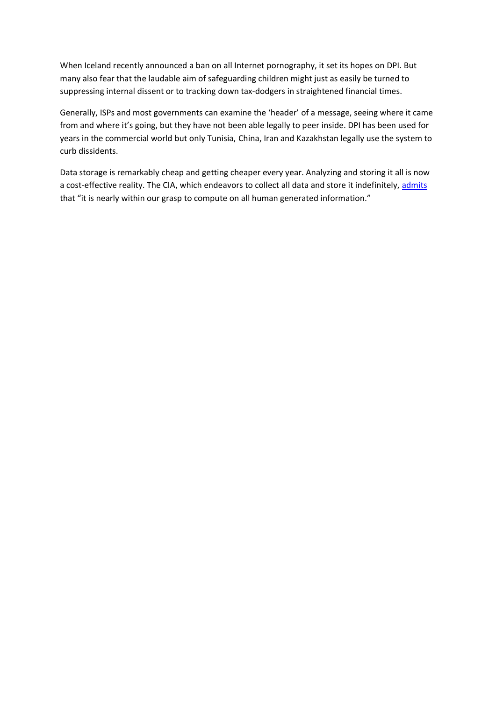When Iceland recently announced a ban on all Internet pornography, it set its hopes on DPI. But many also fear that the laudable aim of safeguarding children might just as easily be turned to suppressing internal dissent or to tracking down tax-dodgers in straightened financial times.

Generally, ISPs and most governments can examine the 'header' of a message, seeing where it came from and where it's going, but they have not been able legally to peer inside. DPI has been used for years in the commercial world but only Tunisia, China, Iran and Kazakhstan legally use the system to curb dissidents.

Data storage is remarkably cheap and getting cheaper every year. Analyzing and storing it all is now a cost-effective reality. The CIA, which endeavors to collect all data and store it indefinitely, [admits](https://www.youtube.com/watch?feature=player_embedded&v=GUPd2uMiXXg#!) that "it is nearly within our grasp to compute on all human generated information."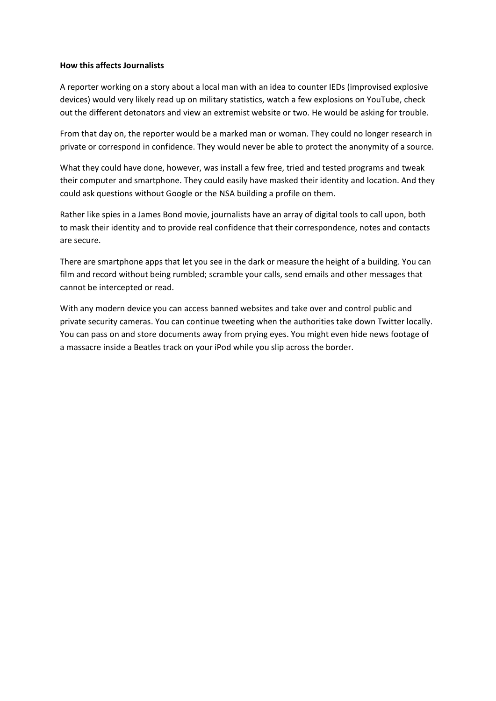#### <span id="page-8-0"></span>**How this affects Journalists**

A reporter working on a story about a local man with an idea to counter IEDs (improvised explosive devices) would very likely read up on military statistics, watch a few explosions on YouTube, check out the different detonators and view an extremist website or two. He would be asking for trouble.

From that day on, the reporter would be a marked man or woman. They could no longer research in private or correspond in confidence. They would never be able to protect the anonymity of a source.

What they could have done, however, was install a few free, tried and tested programs and tweak their computer and smartphone. They could easily have masked their identity and location. And they could ask questions without Google or the NSA building a profile on them.

Rather like spies in a James Bond movie, journalists have an array of digital tools to call upon, both to mask their identity and to provide real confidence that their correspondence, notes and contacts are secure.

There are smartphone apps that let you see in the dark or measure the height of a building. You can film and record without being rumbled; scramble your calls, send emails and other messages that cannot be intercepted or read.

With any modern device you can access banned websites and take over and control public and private security cameras. You can continue tweeting when the authorities take down Twitter locally. You can pass on and store documents away from prying eyes. You might even hide news footage of a massacre inside a Beatles track on your iPod while you slip across the border.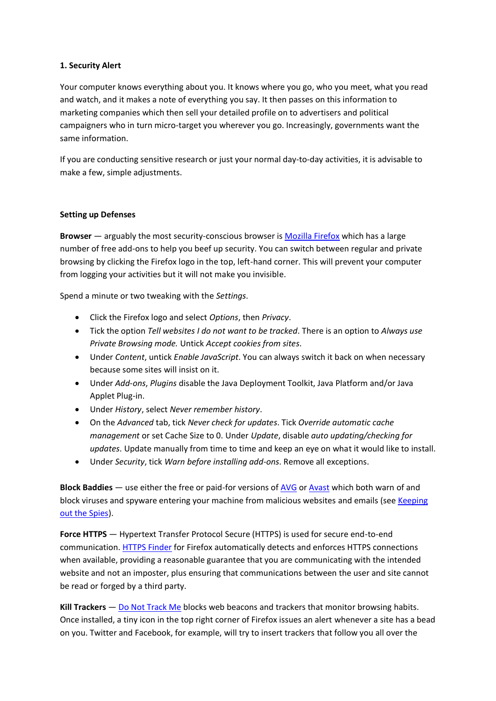# <span id="page-9-0"></span>**1. Security Alert**

Your computer knows everything about you. It knows where you go, who you meet, what you read and watch, and it makes a note of everything you say. It then passes on this information to marketing companies which then sell your detailed profile on to advertisers and political campaigners who in turn micro-target you wherever you go. Increasingly, governments want the same information.

If you are conducting sensitive research or just your normal day-to-day activities, it is advisable to make a few, simple adjustments.

# <span id="page-9-1"></span>**Setting up Defenses**

**Browser** — arguably the most security-conscious browser is [Mozilla Firefox](http://www.mozilla.org/en-US/firefox/new/) which has a large number of free add-ons to help you beef up security. You can switch between regular and private browsing by clicking the Firefox logo in the top, left-hand corner. This will prevent your computer from logging your activities but it will not make you invisible.

<span id="page-9-2"></span>Spend a minute or two tweaking with the *Settings*.

- Click the Firefox logo and select *Options*, then *Privacy*.
- Tick the option *Tell websites I do not want to be tracked*. There is an option to *Always use Private Browsing mode.* Untick *Accept cookies from sites*.
- Under *Content*, untick *Enable JavaScript*. You can always switch it back on when necessary because some sites will insist on it.
- Under *Add-ons*, *Plugins* disable the Java Deployment Toolkit, Java Platform and/or Java Applet Plug-in.
- Under *History*, select *Never remember history*.
- On the *Advanced* tab, tick *Never check for updates*. Tick *Override automatic cache management* or set Cache Size to 0. Under *Update*, disable *auto updating/checking for updates*. Update manually from time to time and keep an eye on what it would like to install.
- Under *Security*, tick *Warn before installing add-ons*. Remove all exceptions.

**Block Baddies** — use either the free or paid-for versions of [AVG](http://www.avg.com/gb-en/trustav_bt_ppc) or [Avast](http://www.avast.com/en-gb/free-antivirus-download?cha=ppc&sen=google&ste=avast%20free&var=13221759312&omcid=EN-GB_Search_Brand) which both warn of and block viruses and spyware entering your machine from malicious websites and emails (se[e Keeping](#page-26-0)  [out the Spies\)](#page-26-0).

**Force HTTPS** — Hypertext Transfer Protocol Secure (HTTPS) is used for secure end-to-end communication. [HTTPS Finder](https://addons.mozilla.org/en-us/firefox/addon/https-finder/) for Firefox automatically detects and enforces HTTPS connections when available, providing a reasonable guarantee that you are communicating with the intended website and not an imposter, plus ensuring that communications between the user and site cannot be read or forged by a third party.

**Kill Trackers** — [Do Not Track](https://addons.mozilla.org/en-us/firefox/addon/donottrackplus/) Me blocks web beacons and trackers that monitor browsing habits. Once installed, a tiny icon in the top right corner of Firefox issues an alert whenever a site has a bead on you. Twitter and Facebook, for example, will try to insert trackers that follow you all over the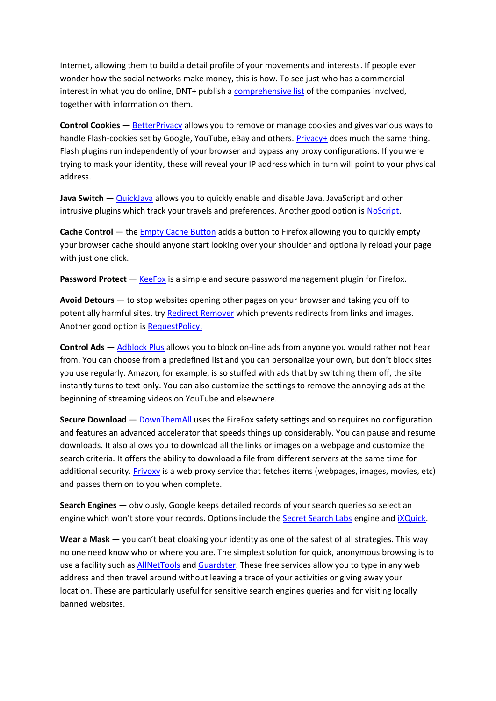Internet, allowing them to build a detail profile of your movements and interests. If people ever wonder how the social networks make money, this is how. To see just who has a commercial interest in what you do online, DNT+ publish a [comprehensive list](http://www.donottrackplus.com/trackers/index.php) of the companies involved, together with information on them.

**Control Cookies** — [BetterPrivacy](https://addons.mozilla.org/en-US/firefox/addon/betterprivacy/?src=cb-dl-mostpopular) allows you to remove or manage cookies and gives various ways to handle Flash-cookies set by Google, YouTube, eBay and others. [Privacy+](https://addons.mozilla.org/en-uS/firefox/addon/privacy/?src=dp-dl-oftenusedwith) does much the same thing. Flash plugins run independently of your browser and bypass any proxy configurations. If you were trying to mask your identity, these will reveal your IP address which in turn will point to your physical address.

**Java Switch** — [QuickJava](https://addons.mozilla.org/en-us/firefox/addon/quickjava/?src=cb-dl-users) allows you to quickly enable and disable Java, JavaScript and other intrusive plugins which track your travels and preferences. Another good option is [NoScript.](http://noscript.net/)

Cache Control — the **[Empty Cache Button](https://addons.mozilla.org/en-us/firefox/addon/empty-cache-button/?src=cb-dl-featured)** adds a button to Firefox allowing you to quickly empty your browser cache should anyone start looking over your shoulder and optionally reload your page with just one click.

**Password Protect** — [KeeFox](https://addons.mozilla.org/en-US/firefox/addon/keefox/?src=cb-dl-toprated%5d,) is a simple and secure password management plugin for Firefox.

**Avoid Detours** — to stop websites opening other pages on your browser and taking you off to potentially harmful sites, try [Redirect Remover](https://addons.mozilla.org/en-us/firefox/addon/redirect-remover/) which prevents redirects from links and images. Another good option is [RequestPolicy.](https://addons.mozilla.org/en-uS/firefox/addon/requestpolicy/?src=dp-dl-oftenusedwith)

**Control Ads** — [Adblock Plus](http://adblock_plus_firefox.en.softonic.com/) allows you to block on-line ads from anyone you would rather not hear from. You can choose from a predefined list and you can personalize your own, but don't block sites you use regularly. Amazon, for example, is so stuffed with ads that by switching them off, the site instantly turns to text-only. You can also customize the settings to remove the annoying ads at the beginning of streaming videos on YouTube and elsewhere.

**Secure Download** — [DownThemAll](https://addons.mozilla.org/en-US/firefox/addon/downthemall/) uses the FireFox safety settings and so requires no configuration and features an advanced accelerator that speeds things up considerably. You can pause and resume downloads. It also allows you to download all the links or images on a webpage and customize the search criteria. It offers the ability to download a file from different servers at the same time for additional security. [Privoxy](http://www.privoxy.org/) is a web proxy service that fetches items (webpages, images, movies, etc) and passes them on to you when complete.

**Search Engines** — obviously, Google keeps detailed records of your search queries so select an engine which won't store your records. Options include the [Secret Search Labs](http://www.secretsearchenginelabs.com/) engine and [iXQuick.](https://www.ixquick.com/)

**Wear a Mask** — you can't beat cloaking your identity as one of the safest of all strategies. This way no one need know who or where you are. The simplest solution for quick, anonymous browsing is to use a facility such as **AllNetTools** and **Guardster**. These free services allow you to type in any web address and then travel around without leaving a trace of your activities or giving away your location. These are particularly useful for sensitive search engines queries and for visiting locally banned websites.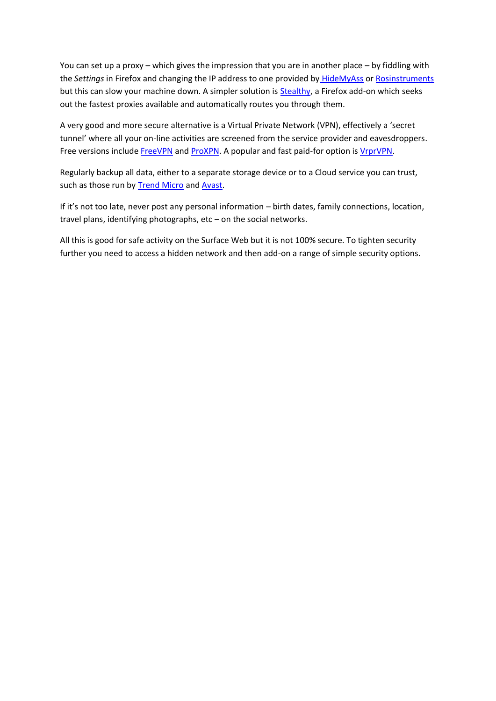You can set up a proxy – which gives the impression that you are in another place – by fiddling with the *Settings* in Firefox and changing the IP address to one provided by [HideMyAss](http://hidemyass.com/proxy-list/) or [Rosinstruments](http://tools.rosinstrument.com/proxy/) but this can slow your machine down. A simpler solution is **Stealthy**, a Firefox add-on which seeks out the fastest proxies available and automatically routes you through them.

A very good and more secure alternative is a Virtual Private Network (VPN), effectively a 'secret tunnel' where all your on-line activities are screened from the service provider and eavesdroppers. Free versions include [FreeVPN](http://www.afterdawn.com/software/network/vpn/free_vpn.cfm%5d) and ProXPN</u>. A popular and fast paid-for option is [VrprVPN.](http://www.goldenfrog.com/vyprvpn)

Regularly backup all data, either to a separate storage device or to a Cloud service you can trust, such as those run by [Trend Micro](http://www.trendmicro.co.uk/products/online-backup-restore/index.html) and [Avast.](http://www.avast.com/en-gb/online-backup)

If it's not too late, never post any personal information – birth dates, family connections, location, travel plans, identifying photographs, etc – on the social networks.

All this is good for safe activity on the Surface Web but it is not 100% secure. To tighten security further you need to access a hidden network and then add-on a range of simple security options.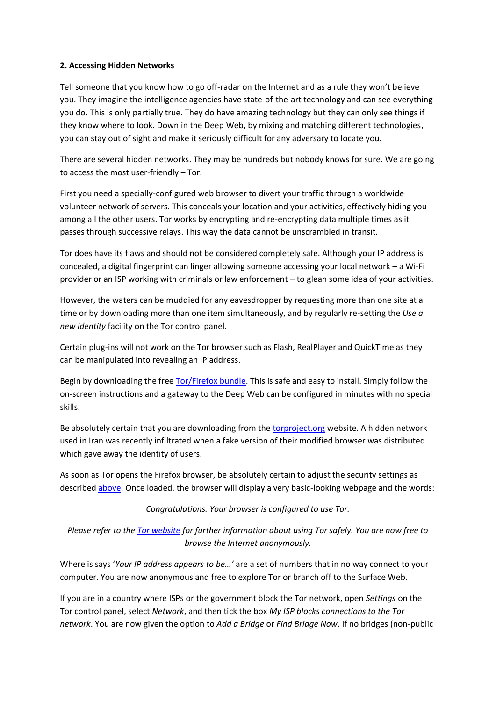# <span id="page-12-0"></span>**2. Accessing Hidden Networks**

Tell someone that you know how to go off-radar on the Internet and as a rule they won't believe you. They imagine the intelligence agencies have state-of-the-art technology and can see everything you do. This is only partially true. They do have amazing technology but they can only see things if they know where to look. Down in the Deep Web, by mixing and matching different technologies, you can stay out of sight and make it seriously difficult for any adversary to locate you.

There are several hidden networks. They may be hundreds but nobody knows for sure. We are going to access the most user-friendly – Tor.

First you need a specially-configured web browser to divert your traffic through a worldwide volunteer network of servers. This conceals your location and your activities, effectively hiding you among all the other users. Tor works by encrypting and re-encrypting data multiple times as it passes through successive relays. This way the data cannot be unscrambled in transit.

Tor does have its flaws and should not be considered completely safe. Although your IP address is concealed, a digital fingerprint can linger allowing someone accessing your local network – a Wi-Fi provider or an ISP working with criminals or law enforcement – to glean some idea of your activities.

However, the waters can be muddied for any eavesdropper by requesting more than one site at a time or by downloading more than one item simultaneously, and by regularly re-setting the *Use a new identity* facility on the Tor control panel.

Certain plug-ins will not work on the Tor browser such as Flash, RealPlayer and QuickTime as they can be manipulated into revealing an IP address.

Begin by downloading the free [Tor/Firefox bundle.](https://www.torproject.org/download/download-easy.html.en) This is safe and easy to install. Simply follow the on-screen instructions and a gateway to the Deep Web can be configured in minutes with no special skills.

Be absolutely certain that you are downloading from the [torproject.org](https://www.torproject.org/) website. A hidden network used in Iran was recently infiltrated when a fake version of their modified browser was distributed which gave away the identity of users.

As soon as Tor opens the Firefox browser, be absolutely certain to adjust the security settings as described [above.](#page-9-2) Once loaded, the browser will display a very basic-looking webpage and the words:

*Congratulations. Your browser is configured to use Tor.*

*Please refer to the [Tor website](https://www.torproject.org/) for further information about using Tor safely. You are now free to browse the Internet anonymously.*

Where is says '*Your IP address appears to be…'* are a set of numbers that in no way connect to your computer. You are now anonymous and free to explore Tor or branch off to the Surface Web.

If you are in a country where ISPs or the government block the Tor network, open *Settings* on the Tor control panel, select *Network*, and then tick the box *My ISP blocks connections to the Tor network*. You are now given the option to *Add a Bridge* or *Find Bridge Now*. If no bridges (non-public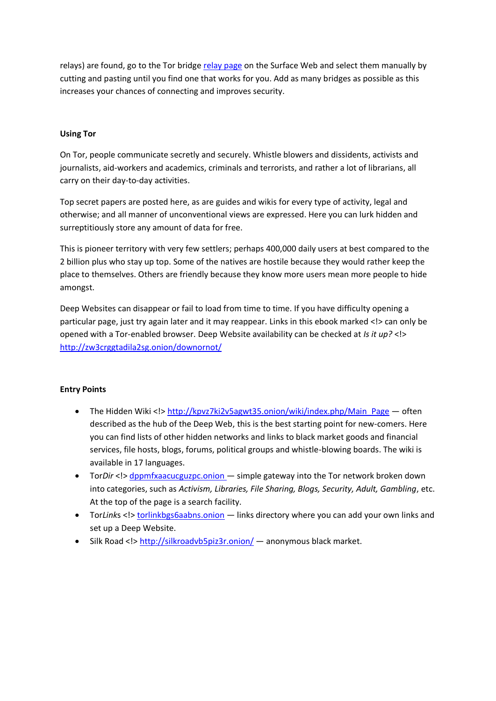relays) are found, go to the Tor bridge [relay page](https://bridges.torproject.org/) on the Surface Web and select them manually by cutting and pasting until you find one that works for you. Add as many bridges as possible as this increases your chances of connecting and improves security.

# <span id="page-13-0"></span>**Using Tor**

On Tor, people communicate secretly and securely. Whistle blowers and dissidents, activists and journalists, aid-workers and academics, criminals and terrorists, and rather a lot of librarians, all carry on their day-to-day activities.

Top secret papers are posted here, as are guides and wikis for every type of activity, legal and otherwise; and all manner of unconventional views are expressed. Here you can lurk hidden and surreptitiously store any amount of data for free.

This is pioneer territory with very few settlers; perhaps 400,000 daily users at best compared to the 2 billion plus who stay up top. Some of the natives are hostile because they would rather keep the place to themselves. Others are friendly because they know more users mean more people to hide amongst.

Deep Websites can disappear or fail to load from time to time. If you have difficulty opening a particular page, just try again later and it may reappear. Links in this ebook marked <!> can only be opened with a Tor-enabled browser. Deep Website availability can be checked at *Is it up?* <!> <http://zw3crggtadila2sg.onion/downornot/>

#### <span id="page-13-1"></span>**Entry Points**

- The Hidden Wiki <!> [http://kpvz7ki2v5agwt35.onion/wiki/index.php/Main\\_Page](http://kpvz7ki2v5agwt35.onion/wiki/index.php/Main_Page) often described as the hub of the Deep Web, this is the best starting point for new-comers. Here you can find lists of other hidden networks and links to black market goods and financial services, file hosts, blogs, forums, political groups and whistle-blowing boards. The wiki is available in 17 languages.
- TorDir <![> dppmfxaacucguzpc.onion](../dppmfxaacucguzpc.onion) simple gateway into the Tor network broken down into categories, such as *Activism, Libraries, File Sharing, Blogs, Security, Adult, Gambling*, etc. At the top of the page is a search facility.
- TorLinks <![> torlinkbgs6aabns.onion](../torlinkbgs6aabns.onion) links directory where you can add your own links and set up a Deep Website.
- Silk Road <!><http://silkroadvb5piz3r.onion/> anonymous black market.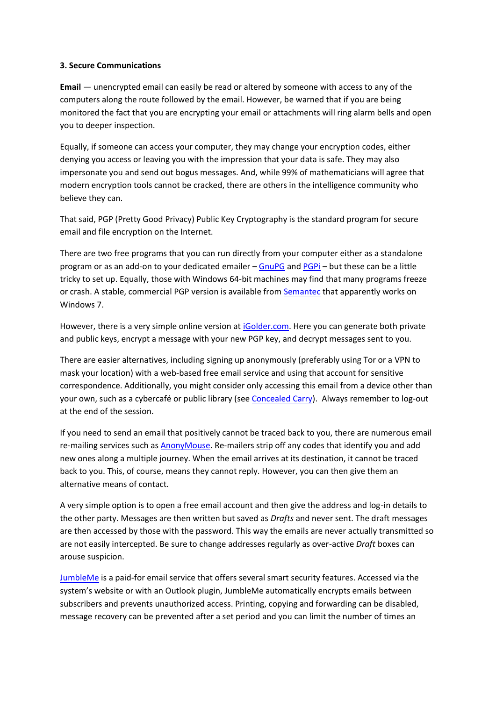## <span id="page-14-0"></span>**3. Secure Communications**

<span id="page-14-1"></span>**Email** — unencrypted email can easily be read or altered by someone with access to any of the computers along the route followed by the email. However, be warned that if you are being monitored the fact that you are encrypting your email or attachments will ring alarm bells and open you to deeper inspection.

Equally, if someone can access your computer, they may change your encryption codes, either denying you access or leaving you with the impression that your data is safe. They may also impersonate you and send out bogus messages. And, while 99% of mathematicians will agree that modern encryption tools cannot be cracked, there are others in the intelligence community who believe they can.

That said, PGP (Pretty Good Privacy) Public Key Cryptography is the standard program for secure email and file encryption on the Internet.

There are two free programs that you can run directly from your computer either as a standalone program or as an add-on to your dedicated emailer – [GnuPG](http://www.pgpi.org/products/pgp/versions/freeware/) and [PGPi](http://www.pgpi.org/products/pgp/versions/freeware/) – but these can be a little tricky to set up. Equally, those with Windows 64-bit machines may find that many programs freeze or crash. A stable, commercial PGP version is available from [Semantec](http://www.symantec.com/pgp) that apparently works on Windows 7.

However, there is a very simple online version at [iGolder.com.](https://www.igolder.com/pgp/generate-key/) Here you can generate both private and public keys, encrypt a message with your new PGP key, and decrypt messages sent to you.

There are easier alternatives, including signing up anonymously (preferably using Tor or a VPN to mask your location) with a web-based free email service and using that account for sensitive correspondence. Additionally, you might consider only accessing this email from a device other than your own, such as a cybercafé or public library (see [Concealed Carry\)](#page-17-0). Always remember to log-out at the end of the session.

If you need to send an email that positively cannot be traced back to you, there are numerous email re-mailing services such as [AnonyMouse.](http://anonymouse.org/anonemail.html) Re-mailers strip off any codes that identify you and add new ones along a multiple journey. When the email arrives at its destination, it cannot be traced back to you. This, of course, means they cannot reply. However, you can then give them an alternative means of contact.

A very simple option is to open a free email account and then give the address and log-in details to the other party. Messages are then written but saved as *Drafts* and never sent. The draft messages are then accessed by those with the password. This way the emails are never actually transmitted so are not easily intercepted. Be sure to change addresses regularly as over-active *Draft* boxes can arouse suspicion.

[JumbleMe](https://jumbleme.com/secureemail.aspx) is a paid-for email service that offers several smart security features. Accessed via the system's website or with an Outlook plugin, JumbleMe automatically encrypts emails between subscribers and prevents unauthorized access. Printing, copying and forwarding can be disabled, message recovery can be prevented after a set period and you can limit the number of times an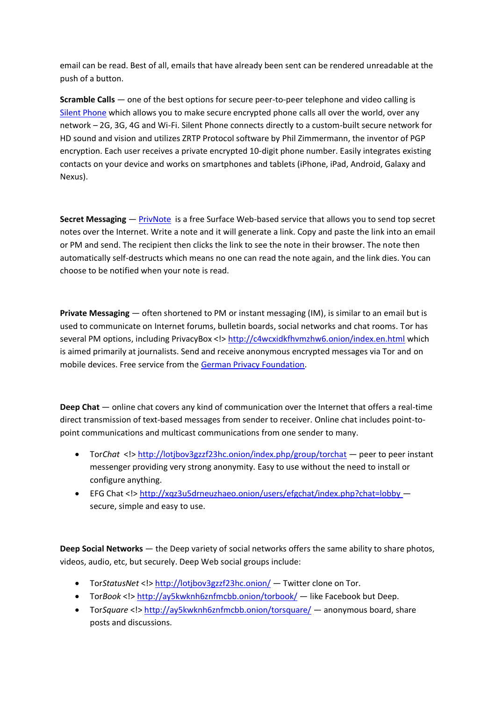email can be read. Best of all, emails that have already been sent can be rendered unreadable at the push of a button.

<span id="page-15-0"></span>**Scramble Calls** — one of the best options for secure peer-to-peer telephone and video calling is [Silent Phone](https://silentcircle.com/web/silent-phone/) which allows you to make secure encrypted phone calls all over the world, over any network – 2G, 3G, 4G and Wi-Fi. Silent Phone connects directly to a custom-built secure network for HD sound and vision and utilizes ZRTP Protocol software by Phil Zimmermann, the inventor of PGP encryption. Each user receives a private encrypted 10-digit phone number. Easily integrates existing contacts on your device and works on smartphones and tablets (iPhone, iPad, Android, Galaxy and Nexus).

<span id="page-15-1"></span>**Secret Messaging** — [PrivNote](https://privnote.com/) is a free Surface Web-based service that allows you to send top secret notes over the Internet. Write a note and it will generate a link. Copy and paste the link into an email or PM and send. The recipient then clicks the link to see the note in their browser. The note then automatically self-destructs which means no one can read the note again, and the link dies. You can choose to be notified when your note is read.

<span id="page-15-2"></span>**Private Messaging** — often shortened to PM or instant messaging (IM), is similar to an email but is used to communicate on Internet forums, bulletin boards, social networks and chat rooms. Tor has several PM options, including PrivacyBox <!><http://c4wcxidkfhvmzhw6.onion/index.en.html> which is aimed primarily at journalists. Send and receive anonymous encrypted messages via Tor and on mobile devices. Free service from the [German Privacy Foundation.](https://privacybox.de/index.en.html)

<span id="page-15-3"></span>**Deep Chat** — online chat covers any kind of communication over the Internet that offers a real-time direct transmission of text-based messages from sender to receiver. Online chat includes point-topoint communications and multicast communications from one sender to many.

- Tor*Chat* <![> http://lotjbov3gzzf23hc.onion/index.php/group/torchat](http://lotjbov3gzzf23hc.onion/index.php/group/torchat) peer to peer instant messenger providing very strong anonymity. Easy to use without the need to install or configure anything.
- EFG Chat <!><http://xqz3u5drneuzhaeo.onion/users/efgchat/index.php?chat=lobby> secure, simple and easy to use.

<span id="page-15-4"></span>**Deep Social Networks** — the Deep variety of social networks offers the same ability to share photos, videos, audio, etc, but securely. Deep Web social groups include:

- Tor*StatusNet* <!><http://lotjbov3gzzf23hc.onion/> Twitter clone on Tor.
- Tor*Book* <!><http://ay5kwknh6znfmcbb.onion/torbook/> like Facebook but Deep.
- Tor*Square* <!><http://ay5kwknh6znfmcbb.onion/torsquare/> anonymous board, share posts and discussions.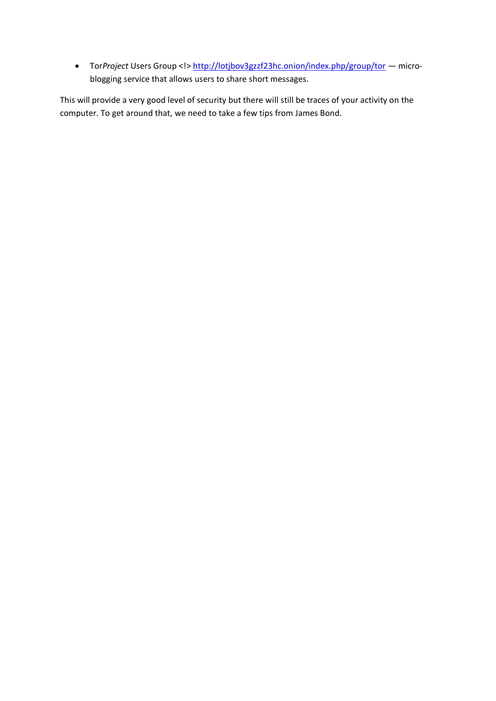• Tor*Project* Users Group <!><http://lotjbov3gzzf23hc.onion/index.php/group/tor> — microblogging service that allows users to share short messages.

This will provide a very good level of security but there will still be traces of your activity on the computer. To get around that, we need to take a few tips from James Bond.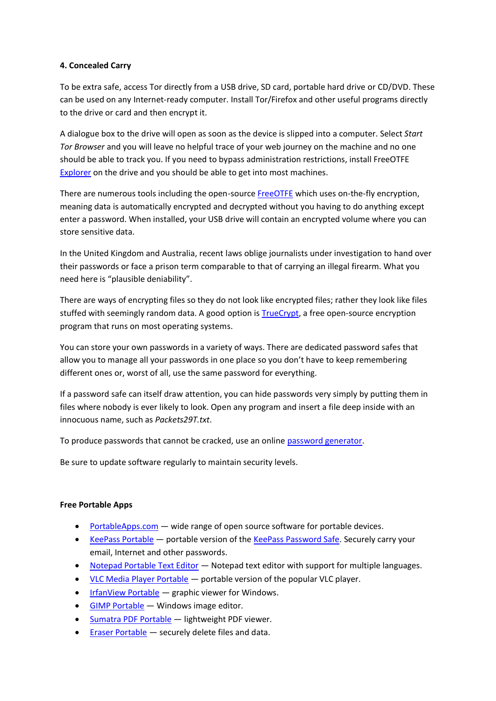# <span id="page-17-0"></span>**4. Concealed Carry**

To be extra safe, access Tor directly from a USB drive, SD card, portable hard drive or CD/DVD. These can be used on any Internet-ready computer. Install Tor/Firefox and other useful programs directly to the drive or card and then encrypt it.

A dialogue box to the drive will open as soon as the device is slipped into a computer. Select *Start Tor Browser* and you will leave no helpful trace of your web journey on the machine and no one should be able to track you. If you need to bypass administration restrictions, install FreeOTFE [Explorer](http://www.freeotfe.org/download.html) on the drive and you should be able to get into most machines.

There are numerous tools including the open-source **FreeOTFE** which uses on-the-fly encryption, meaning data is automatically encrypted and decrypted without you having to do anything except enter a password. When installed, your USB drive will contain an encrypted volume where you can store sensitive data.

In the United Kingdom and Australia, recent laws oblige journalists under investigation to hand over their passwords or face a prison term comparable to that of carrying an illegal firearm. What you need here is "plausible deniability".

There are ways of encrypting files so they do not look like encrypted files; rather they look like files stuffed with seemingly random data. A good option is **TrueCrypt**, a free open-source encryption program that runs on most operating systems.

You can store your own passwords in a variety of ways. There are dedicated password safes that allow you to manage all your passwords in one place so you don't have to keep remembering different ones or, worst of all, use the same password for everything.

If a password safe can itself draw attention, you can hide passwords very simply by putting them in files where nobody is ever likely to look. Open any program and insert a file deep inside with an innocuous name, such as *Packets29T.txt*.

To produce passwords that cannot be cracked, use an online [password generator.](http://www.whatsmyip.org/passwordgen/)

Be sure to update software regularly to maintain security levels.

#### **Free Portable Apps**

- [PortableApps.com](http://portableapps.com/) wide range of open source software for portable devices.
- [KeePass Portable](http://portableapps.com/apps/utilities/keepass_portable) portable version of the [KeePass Password Safe.](http://keepass.info/) Securely carry your email, Internet and other passwords.
- [Notepad Portable Text Editor](http://portableapps.com/apps/development/notepadpp_portable) Notepad text editor with support for multiple languages.
- [VLC Media Player Portable](http://portableapps.com/apps/music_video/vlc_portable) portable version of the popular VLC player.
- [IrfanView Portable](http://portableapps.com/apps/graphics_pictures/irfanview_portable) graphic viewer for Windows.
- [GIMP Portable](http://portableapps.com/apps/graphics_pictures/gimp_portable) Windows image editor.
- [Sumatra PDF Portable](http://portableapps.com/apps/office/sumatra_pdf_portable) lightweight PDF viewer.
- **Example 1** Example securely delete files and data.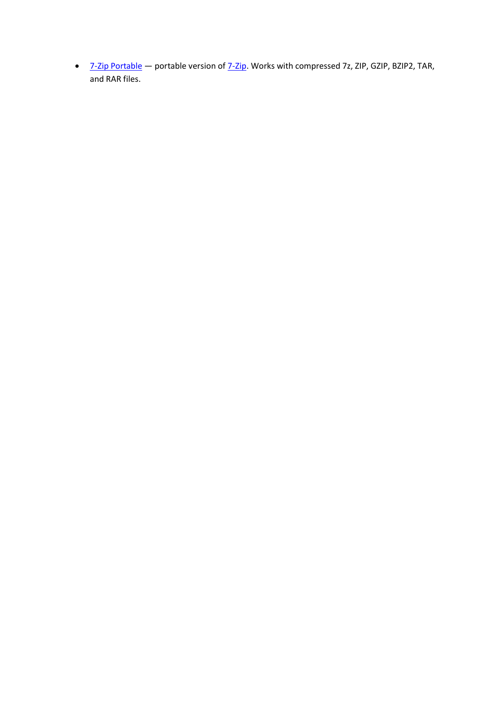• [7-Zip Portable](http://portableapps.com/apps/utilities/7-zip_portable) — portable version of [7-Zip.](http://www.7-zip.org/) Works with compressed 7z, ZIP, GZIP, BZIP2, TAR, and RAR files.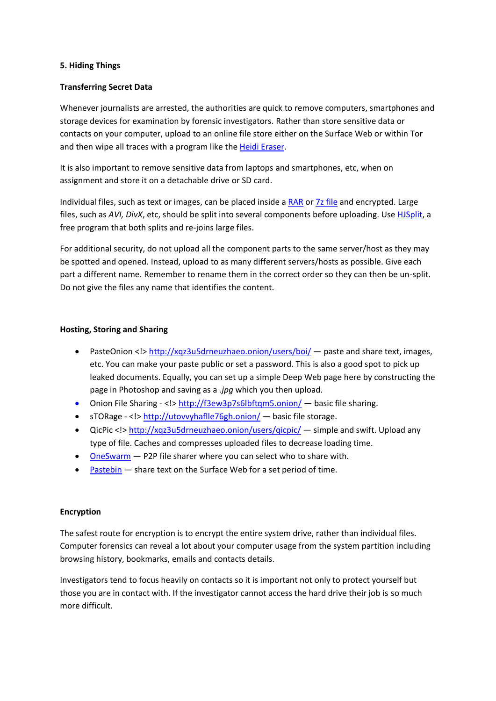#### <span id="page-19-0"></span>**5. Hiding Things**

#### <span id="page-19-1"></span>**Transferring Secret Data**

Whenever journalists are arrested, the authorities are quick to remove computers, smartphones and storage devices for examination by forensic investigators. Rather than store sensitive data or contacts on your computer, upload to an online file store either on the Surface Web or within Tor and then wipe all traces with a program like the **Heidi Eraser**.

It is also important to remove sensitive data from laptops and smartphones, etc, when on assignment and store it on a detachable drive or SD card.

Individual files, such as text or images, can be placed inside a [RAR](http://www.rarlab.com/download.htm) or [7z file](http://www.7-zip.org/) and encrypted. Large files, such as *AVI, DivX*, etc, should be split into several components before uploading. Use [HJSplit,](http://hjsplit.en.softonic.com/download) a free program that both splits and re-joins large files.

For additional security, do not upload all the component parts to the same server/host as they may be spotted and opened. Instead, upload to as many different servers/hosts as possible. Give each part a different name. Remember to rename them in the correct order so they can then be un-split. Do not give the files any name that identifies the content.

#### <span id="page-19-2"></span>**Hosting, Storing and Sharing**

- PasteOnion <!><http://xqz3u5drneuzhaeo.onion/users/boi/> paste and share text, images, etc. You can make your paste public or set a password. This is also a good spot to pick up leaked documents. Equally, you can set up a simple Deep Web page here by constructing the page in Photoshop and saving as a *.jpg* which you then upload.
- Onion File Sharing <!><http://f3ew3p7s6lbftqm5.onion/> basic file sharing.
- sTORage <!> <http://utovvyhaflle76gh.onion/> basic file storage.
- QicPic <!><http://xqz3u5drneuzhaeo.onion/users/qicpic/> simple and swift. Upload any type of file. Caches and compresses uploaded files to decrease loading time.
- [OneSwarm](http://www.oneswarm.org/) P2P file sharer where you can select who to share with.
- [Pastebin](http://pastebin.com/) share text on the Surface Web for a set period of time.

#### <span id="page-19-3"></span>**Encryption**

The safest route for encryption is to encrypt the entire system drive, rather than individual files. Computer forensics can reveal a lot about your computer usage from the system partition including browsing history, bookmarks, emails and contacts details.

Investigators tend to focus heavily on contacts so it is important not only to protect yourself but those you are in contact with. If the investigator cannot access the hard drive their job is so much more difficult.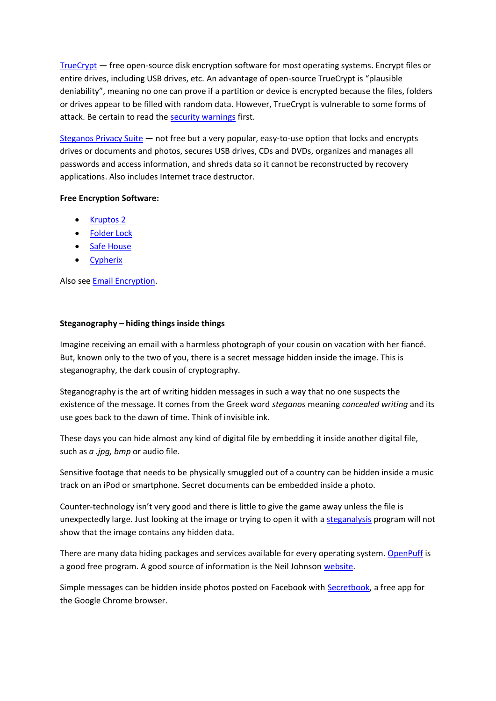[TrueCrypt](http://www.truecrypt.org/) — free open-source disk encryption software for most operating systems. Encrypt files or entire drives, including USB drives, etc. An advantage of open-source TrueCrypt is "plausible deniability", meaning no one can prove if a partition or device is encrypted because the files, folders or drives appear to be filled with random data. However, TrueCrypt is vulnerable to some forms of attack. Be certain to read the **security warnings** first.

[Steganos Privacy Suite](http://www.steganos.com/us/products/overview/) — not free but a very popular, easy-to-use option that locks and encrypts drives or documents and photos, secures USB drives, CDs and DVDs, organizes and manages all passwords and access information, and shreds data so it cannot be reconstructed by recovery applications. Also includes Internet trace destructor.

# **Free Encryption Software:**

- [Kruptos 2](http://www.kruptos2.co.uk/)
- [Folder Lock](http://www.newsoftwares.net/folderlock/)
- [Safe House](http://www.safehousesoftware.com/)
- [Cypherix](http://www.cypherix.com/cryptainerle/)

<span id="page-20-0"></span>Also see [Email Encryption.](#page-14-1)

# **Steganography – hiding things inside things**

Imagine receiving an email with a harmless photograph of your cousin on vacation with her fiancé. But, known only to the two of you, there is a secret message hidden inside the image. This is steganography, the dark cousin of cryptography.

Steganography is the art of writing hidden messages in such a way that no one suspects the existence of the message. It comes from the Greek word *steganos* meaning *concealed writing* and its use goes back to the dawn of time. Think of invisible ink.

These days you can hide almost any kind of digital file by embedding it inside another digital file, such as *a .jpg, bmp* or audio file.

Sensitive footage that needs to be physically smuggled out of a country can be hidden inside a music track on an iPod or smartphone. Secret documents can be embedded inside a photo.

Counter-technology isn't very good and there is little to give the game away unless the file is unexpectedly large. Just looking at the image or trying to open it with a [steganalysis](http://en.wikipedia.org/wiki/Steganalysis) program will not show that the image contains any hidden data.

There are many data hiding packages and services available for every operating system. [OpenPuff](http://www.softpedia.com/progDownload/Puff-Download-70553.html) is a good free program. A good source of information is the Neil Johnso[n website.](http://www.jjtc.com/Steganography/tools.html)

Simple messages can be hidden inside photos posted on Facebook with [Secretbook,](https://chrome.google.com/webstore/detail/secretbook/plglafijddgpenmohgiemalpcfgjjbph) a free app for the Google Chrome browser.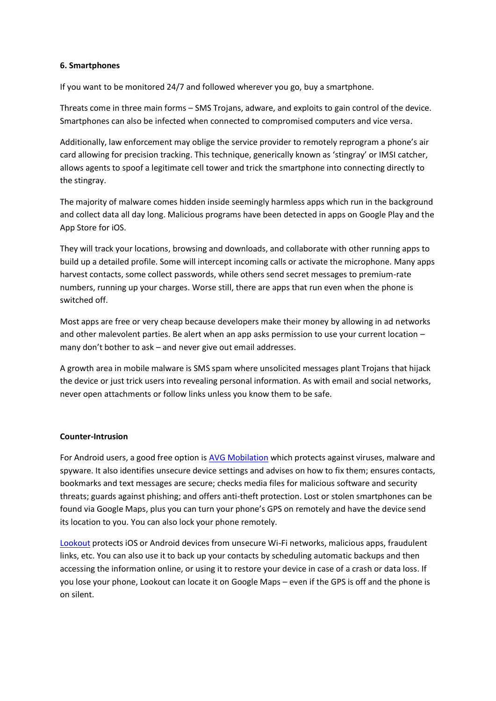#### <span id="page-21-0"></span>**6. Smartphones**

If you want to be monitored 24/7 and followed wherever you go, buy a smartphone.

Threats come in three main forms – SMS Trojans, adware, and exploits to gain control of the device. Smartphones can also be infected when connected to compromised computers and vice versa.

Additionally, law enforcement may oblige the service provider to remotely reprogram a phone's air card allowing for precision tracking. This technique, generically known as 'stingray' or IMSI catcher, allows agents to spoof a legitimate cell tower and trick the smartphone into connecting directly to the stingray.

The majority of malware comes hidden inside seemingly harmless apps which run in the background and collect data all day long. Malicious programs have been detected in apps on Google Play and the App Store for iOS.

They will track your locations, browsing and downloads, and collaborate with other running apps to build up a detailed profile. Some will intercept incoming calls or activate the microphone. Many apps harvest contacts, some collect passwords, while others send secret messages to premium-rate numbers, running up your charges. Worse still, there are apps that run even when the phone is switched off.

Most apps are free or very cheap because developers make their money by allowing in ad networks and other malevolent parties. Be alert when an app asks permission to use your current location – many don't bother to ask – and never give out email addresses.

A growth area in mobile malware is SMS spam where unsolicited messages plant Trojans that hijack the device or just trick users into revealing personal information. As with email and social networks, never open attachments or follow links unless you know them to be safe.

#### <span id="page-21-1"></span>**Counter-Intrusion**

For Android users, a good free option is [AVG Mobilation](http://www.avgmobilation.com/) which protects against viruses, malware and spyware. It also identifies unsecure device settings and advises on how to fix them; ensures contacts, bookmarks and text messages are secure; checks media files for malicious software and security threats; guards against phishing; and offers anti-theft protection. Lost or stolen smartphones can be found via Google Maps, plus you can turn your phone's GPS on remotely and have the device send its location to you. You can also lock your phone remotely.

[Lookout](https://www.lookout.com/) protects iOS or Android devices from unsecure Wi-Fi networks, malicious apps, fraudulent links, etc. You can also use it to back up your contacts by scheduling automatic backups and then accessing the information online, or using it to restore your device in case of a crash or data loss. If you lose your phone, Lookout can locate it on Google Maps – even if the GPS is off and the phone is on silent.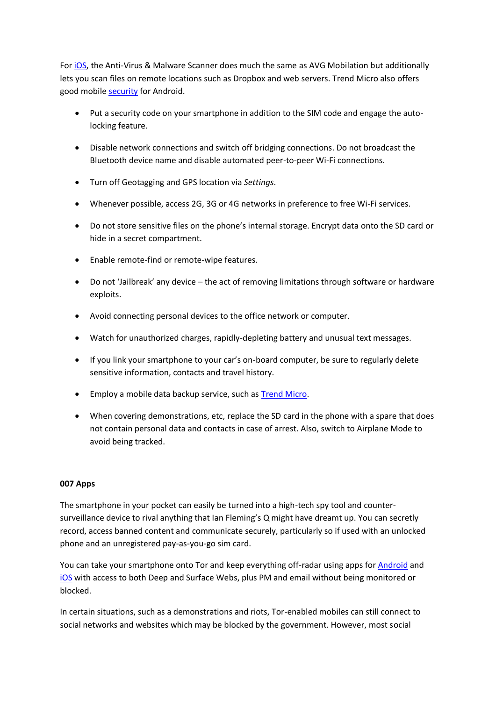For [iOS,](http://www.intego.com/virusbarrier-ios) the Anti-Virus & Malware Scanner does much the same as AVG Mobilation but additionally lets you scan files on remote locations such as Dropbox and web servers. Trend Micro also offers good mobil[e security](http://www.trendmicro.com/us/home/products/mobile-solutions/android-security/index.html) for Android.

- Put a security code on your smartphone in addition to the SIM code and engage the autolocking feature.
- Disable network connections and switch off bridging connections. Do not broadcast the Bluetooth device name and disable automated peer-to-peer Wi-Fi connections.
- Turn off Geotagging and GPS location via *Settings*.
- Whenever possible, access 2G, 3G or 4G networks in preference to free Wi-Fi services.
- Do not store sensitive files on the phone's internal storage. Encrypt data onto the SD card or hide in a secret compartment.
- Enable remote-find or remote-wipe features.
- Do not 'Jailbreak' any device the act of removing limitations through software or hardware exploits.
- Avoid connecting personal devices to the office network or computer.
- Watch for unauthorized charges, rapidly-depleting battery and unusual text messages.
- If you link your smartphone to your car's on-board computer, be sure to regularly delete sensitive information, contacts and travel history.
- Employ a mobile data backup service, such as [Trend Micro.](http://www.trendmicro.co.uk/products/online-backup-restore/index.html)
- When covering demonstrations, etc, replace the SD card in the phone with a spare that does not contain personal data and contacts in case of arrest. Also, switch to Airplane Mode to avoid being tracked.

# <span id="page-22-0"></span>**007 Apps**

The smartphone in your pocket can easily be turned into a high-tech spy tool and countersurveillance device to rival anything that Ian Fleming's Q might have dreamt up. You can secretly record, access banned content and communicate securely, particularly so if used with an unlocked phone and an unregistered pay-as-you-go sim card.

You can take your smartphone onto Tor and keep everything off-radar using apps for **Android** and [iOS](http://itunes.apple.com/gb/app/covert-browser/id477438328?mt=8) with access to both Deep and Surface Webs, plus PM and email without being monitored or blocked.

In certain situations, such as a demonstrations and riots, Tor-enabled mobiles can still connect to social networks and websites which may be blocked by the government. However, most social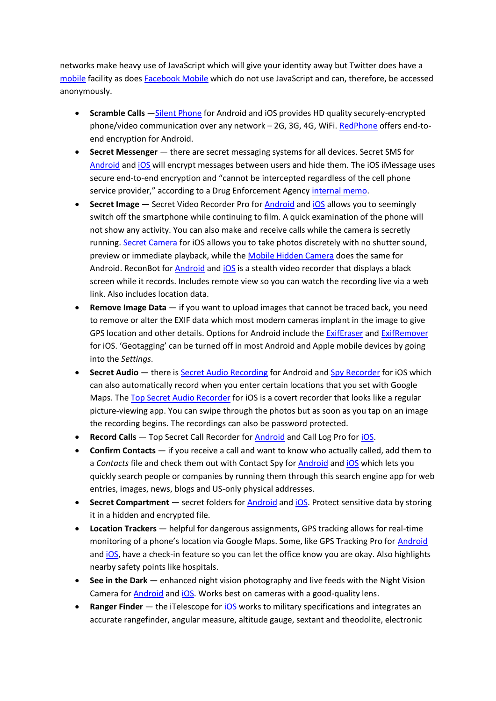networks make heavy use of JavaScript which will give your identity away but Twitter does have a [mobile](https://mobile.twitter.com/) facility as does [Facebook Mobile](https://m.facebook.com/) which do not use JavaScript and can, therefore, be accessed anonymously.

- **Scramble Calls** —[Silent Phone](https://silentcircle.com/web/silent-phone/) for Android and iOS provides HD quality securely-encrypted phone/video communication over any network – 2G, 3G, 4G, WiFi[. RedPhone](http://www.whispersystems.org/) offers end-toend encryption for Android.
- **Secret Messenger** there are secret messaging systems for all devices. Secret SMS for [Android](https://play.google.com/store/apps/details?id=com.apperhand.secretsms&hl=en) an[d iOS](https://itunes.apple.com/gb/app/secret-sms-protect-your-private/id499585126?mt=8) will encrypt messages between users and hide them. The iOS iMessage uses secure end-to-end encryption and "cannot be intercepted regardless of the cell phone service provider," according to a Drug Enforcement Agency [internal memo.](http://news.cnet.com/8301-13578_3-57577887-38/apples-imessage-encryption-trips-up-feds-surveillance/)
- **Secret Image** Secret Video Recorder Pro for **Android** and *iOS* allows you to seemingly switch off the smartphone while continuing to film. A quick examination of the phone will not show any activity. You can also make and receive calls while the camera is secretly running. [Secret Camera](https://itunes.apple.com/us/app/secret-camera-taking-photo/id438199781?mt=8) for iOS allows you to take photos discretely with no shutter sound, preview or immediate playback, while the [Mobile Hidden Camera](https://play.google.com/store/apps/details?id=com.zecurisoft.mhc1202) does the same for Android. ReconBot for **Android and [iOS](https://itunes.apple.com/my/app/reconbot/id517757340?mt=8)** is a stealth video recorder that displays a black screen while it records. Includes remote view so you can watch the recording live via a web link. Also includes location data.
- **Remove Image Data** if you want to upload images that cannot be traced back, you need to remove or alter the EXIF data which most modern cameras implant in the image to give GPS location and other details. Options for Android include the [ExifEraser](https://play.google.com/store/apps/details?id=jp.wing.exiferaser&hl=en) an[d ExifRemover](https://itunes.apple.com/au/app/exifremover-remove-hidden/id438392458?mt=8) for iOS. 'Geotagging' can be turned off in most Android and Apple mobile devices by going into the *Settings*.
- **Secret Audio** there is [Secret Audio Recording](https://play.google.com/store/apps/details?id=com.terboel.sarf&hl=en) for Android and [Spy Recorder](https://itunes.apple.com/my/app/spy-recorder/id457890507?mt=8) for iOS which can also automatically record when you enter certain locations that you set with Google Maps. The [Top Secret Audio Recorder](https://itunes.apple.com/us/app/top-secret-audio-recorder/id414877607?mt=8) for iOS is a covert recorder that looks like a regular picture-viewing app. You can swipe through the photos but as soon as you tap on an image the recording begins. The recordings can also be password protected.
- Record Calls Top Secret Call Recorder for **Android** and Call Log Pro for *iOS*.
- **Confirm Contacts** if you receive a call and want to know who actually called, add them to a *Contacts* file and check them out with Contact Spy for [Android](http://www.ollapp.com/app/contact-spy/android) and [iOS](https://itunes.apple.com/us/app/contact-spy/id294842554?mt=8) which lets you quickly search people or companies by running them through this search engine app for web entries, images, news, blogs and US-only physical addresses.
- **Secret Compartment** secret folders for [Android](http://androidapp.lisisoft.com/android-apps/my-secret-folder.html) an[d iOS.](https://itunes.apple.com/gb/app/secret-folder!/id507905550?mt=8) Protect sensitive data by storing it in a hidden and encrypted file.
- **Location Trackers** helpful for dangerous assignments, GPS tracking allows for real-time monitoring of a phone's location via Google Maps. Some, like GPS Tracking Pro for [Android](https://play.google.com/store/apps/details?id=com.fsp.android.c&hl=en) and *iOS*, have a check-in feature so you can let the office know you are okay. Also highlights nearby safety points like hospitals.
- **See in the Dark** enhanced night vision photography and live feeds with the Night Vision Camera for [Android](https://play.google.com/store/apps/details?id=com.fingersoft.nightvisioncamera&hl=en) and [iOS.](https://itunes.apple.com/my/app/night-vision-camera/id492350041?mt=8) Works best on cameras with a good-quality lens.
- **Ranger Finder** the iTelescope for [iOS](https://itunes.apple.com/gb/app/itelescope/id413240091?mt=8) works to military specifications and integrates an accurate rangefinder, angular measure, altitude gauge, sextant and theodolite, electronic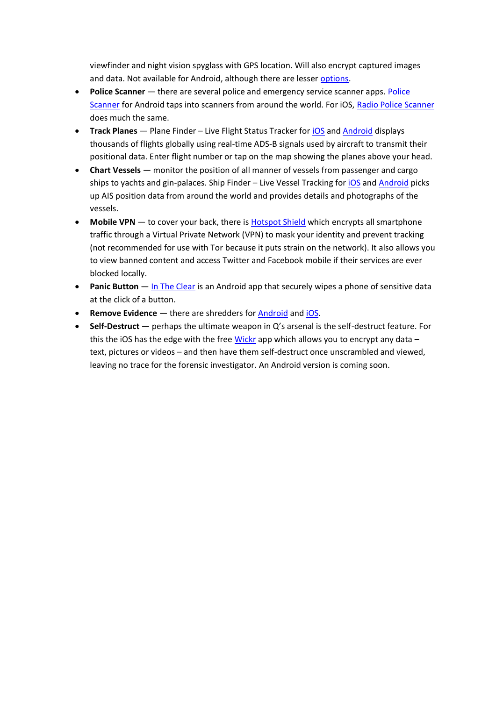viewfinder and night vision spyglass with GPS location. Will also encrypt captured images and data. Not available for Android, although there are lesser [options.](http://www.appszoom.com/android_applications/range+finder)

- **•** Police Scanner there are several police and emergency service scanner apps. Police [Scanner](https://play.google.com/store/apps/details?id=com.berobo.android.scanner&hl=en) for Android taps into scanners from around the world. For iOS, [Radio Police Scanner](https://itunes.apple.com/gb/app/5-0-radio-police-scanner-lite/id356336433?mt=8) does much the same.
- **Track Planes** Plane Finder Live Flight Status Tracker for *iOS* an[d Android](https://play.google.com/store/apps/details?id=com.pinkfroot.planefinder&hl=en) displays thousands of flights globally using real-time ADS-B signals used by aircraft to transmit their positional data. Enter flight number or tap on the map showing the planes above your head.
- **Chart Vessels** monitor the position of all manner of vessels from passenger and cargo ships to yachts and gin-palaces. Ship Finder - Live Vessel Tracking for [iOS](https://itunes.apple.com/us/app/ship-finder/id319726819?mt=8) an[d Android](https://play.google.com/store/apps/details?id=com.pinkfroot.shipfinder&hl=en) picks up AIS position data from around the world and provides details and photographs of the vessels.
- **Mobile VPN** to cover your back, there is [Hotspot Shield](http://www.hotspotshield.com/en) which encrypts all smartphone traffic through a Virtual Private Network (VPN) to mask your identity and prevent tracking (not recommended for use with Tor because it puts strain on the network). It also allows you to view banned content and access Twitter and Facebook mobile if their services are ever blocked locally.
- **Panic Button** [In The Clear](https://play.google.com/store/apps/details?id=org.safermobile.intheclear) is an Android app that securely wipes a phone of sensitive data at the click of a button.
- **Remove Evidence**  there are shredders for [Android](http://download.cnet.com/1770-20_4-0.html?query=shredder&platformSelect=Windows&tag=srch&searchtype=downloads&filterName=platform%3DWindows&filter=platform%3DWindows) an[d iOS.](http://appfinder.lisisoft.com/ipad-iphone-apps/nuker-evidence-nuker.html?cat=finance)
- **Self-Destruct** perhaps the ultimate weapon in Q's arsenal is the self-destruct feature. For this the iOS has the edge with the free [Wickr](https://www.mywickr.com/en/index.php) app which allows you to encrypt any data  $$ text, pictures or videos – and then have them self-destruct once unscrambled and viewed, leaving no trace for the forensic investigator. An Android version is coming soon.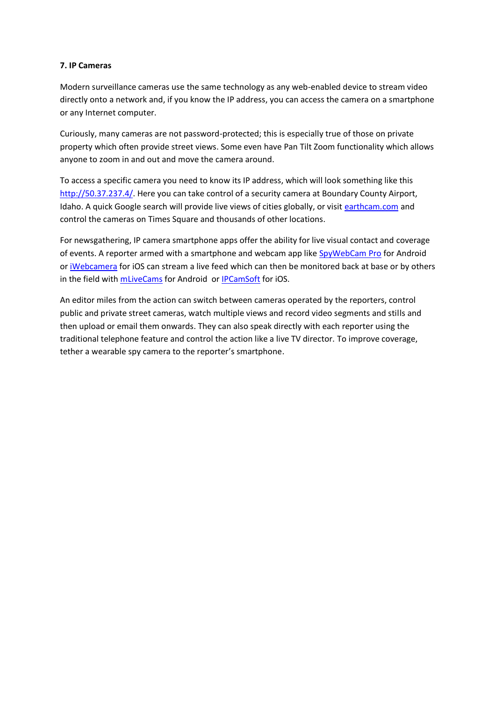#### <span id="page-25-0"></span>**7. IP Cameras**

Modern surveillance cameras use the same technology as any web-enabled device to stream video directly onto a network and, if you know the IP address, you can access the camera on a smartphone or any Internet computer.

Curiously, many cameras are not password-protected; this is especially true of those on private property which often provide street views. Some even have Pan Tilt Zoom functionality which allows anyone to zoom in and out and move the camera around.

To access a specific camera you need to know its IP address, which will look something like this [http://50.37.237.4/.](http://50.37.237.4/) Here you can take control of a security camera at Boundary County Airport, Idaho. A quick Google search will provide live views of cities globally, or visit [earthcam.com](http://www.earthcam.com/) and control the cameras on Times Square and thousands of other locations.

For newsgathering, IP camera smartphone apps offer the ability for live visual contact and coverage of events. A reporter armed with a smartphone and webcam app like [SpyWebCam Pro](http://www.appszoom.com/android_applications/lifestyle/esymetric-spywebcam-pro_ixxz.html) for Android or [iWebcamera](https://itunes.apple.com/gb/app/iwebcamera/id369617568?mt=8) for iOS can stream a live feed which can then be monitored back at base or by others in the field with [mLiveCams](https://play.google.com/store/apps/details?id=com.leadapps.android.mlivecams&feature=related_apps) for Android or **IPCamSoft** for iOS.

An editor miles from the action can switch between cameras operated by the reporters, control public and private street cameras, watch multiple views and record video segments and stills and then upload or email them onwards. They can also speak directly with each reporter using the traditional telephone feature and control the action like a live TV director. To improve coverage, tether a wearable spy camera to the reporter's smartphone.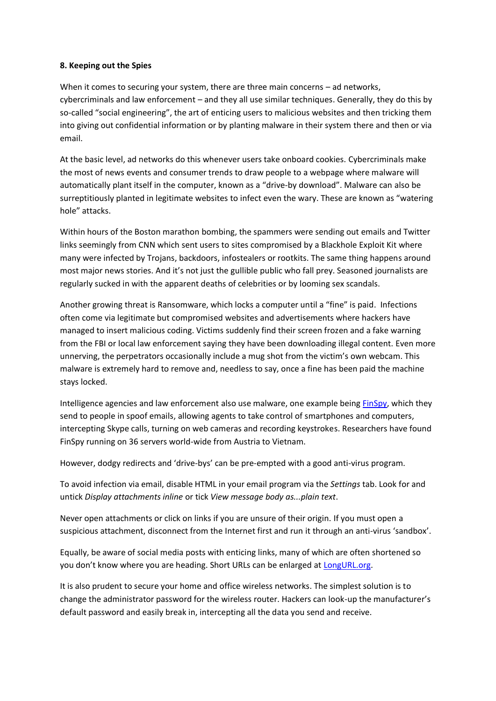#### <span id="page-26-0"></span>**8. Keeping out the Spies**

When it comes to securing your system, there are three main concerns – ad networks, cybercriminals and law enforcement – and they all use similar techniques. Generally, they do this by so-called "social engineering", the art of enticing users to malicious websites and then tricking them into giving out confidential information or by planting malware in their system there and then or via email.

At the basic level, ad networks do this whenever users take onboard cookies. Cybercriminals make the most of news events and consumer trends to draw people to a webpage where malware will automatically plant itself in the computer, known as a "drive-by download". Malware can also be surreptitiously planted in legitimate websites to infect even the wary. These are known as "watering hole" attacks.

Within hours of the Boston marathon bombing, the spammers were sending out emails and Twitter links seemingly from CNN which sent users to sites compromised by a Blackhole Exploit Kit where many were infected by Trojans, backdoors, infostealers or rootkits. The same thing happens around most major news stories. And it's not just the gullible public who fall prey. Seasoned journalists are regularly sucked in with the apparent deaths of celebrities or by looming sex scandals.

Another growing threat is Ransomware, which locks a computer until a "fine" is paid. Infections often come via legitimate but compromised websites and advertisements where hackers have managed to insert malicious coding. Victims suddenly find their screen frozen and a fake warning from the FBI or local law enforcement saying they have been downloading illegal content. Even more unnerving, the perpetrators occasionally include a mug shot from the victim's own webcam. This malware is extremely hard to remove and, needless to say, once a fine has been paid the machine stays locked.

Intelligence agencies and law enforcement also use malware, one example being **FinSpy**, which they send to people in spoof emails, allowing agents to take control of smartphones and computers, intercepting Skype calls, turning on web cameras and recording keystrokes. Researchers have found FinSpy running on 36 servers world-wide from Austria to Vietnam.

However, dodgy redirects and 'drive-bys' can be pre-empted with a good anti-virus program.

To avoid infection via email, disable HTML in your email program via the *Settings* tab. Look for and untick *Display attachments inline* or tick *View message body as...plain text*.

Never open attachments or click on links if you are unsure of their origin. If you must open a suspicious attachment, disconnect from the Internet first and run it through an anti-virus 'sandbox'.

Equally, be aware of social media posts with enticing links, many of which are often shortened so you don't know where you are heading. Short URLs can be enlarged at **LongURL.org**.

It is also prudent to secure your home and office wireless networks. The simplest solution is to change the administrator password for the wireless router. Hackers can look-up the manufacturer's default password and easily break in, intercepting all the data you send and receive.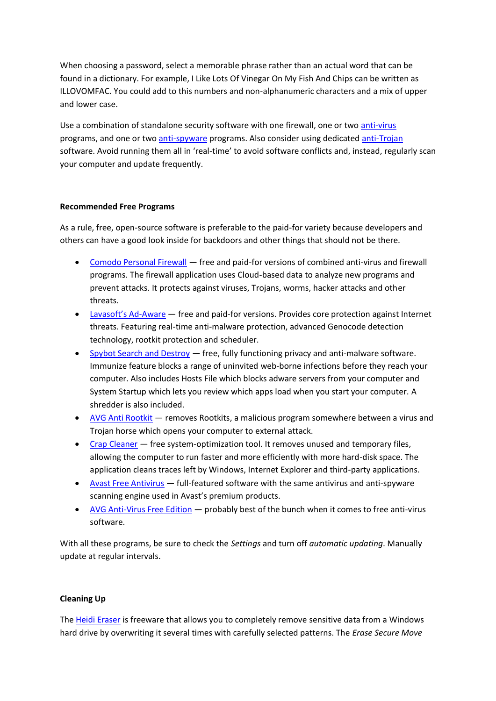When choosing a password, select a memorable phrase rather than an actual word that can be found in a dictionary. For example, I Like Lots Of Vinegar On My Fish And Chips can be written as ILLOVOMFAC. You could add to this numbers and non-alphanumeric characters and a mix of upper and lower case.

Use a combination of standalone security software with one firewall, one or two [anti-virus](http://www.pcmag.com/article2/0,2817,2372364,00.asp) programs, and one or two [anti-spyware](http://anti-spyware-review.toptenreviews.com/) programs. Also consider using dedicated [anti-Trojan](http://www.wilderssecurity.com/forumdisplay.php?f=33) software. Avoid running them all in 'real-time' to avoid software conflicts and, instead, regularly scan your computer and update frequently.

# <span id="page-27-0"></span>**Recommended Free Programs**

As a rule, free, open-source software is preferable to the paid-for variety because developers and others can have a good look inside for backdoors and other things that should not be there.

- [Comodo Personal Firewall](http://personalfirewall.comodo.com/) free and paid-for versions of combined anti-virus and firewall programs. The firewall application uses Cloud-based data to analyze new programs and prevent attacks. It protects against viruses, Trojans, worms, hacker attacks and other threats.
- Lavasoft'[s Ad-Aware](http://www.lavasoft.com/) free and paid-for versions. Provides core protection against Internet threats. Featuring real-time anti-malware protection, advanced Genocode detection technology, rootkit protection and scheduler.
- [Spybot Search and Destroy](http://www.safer-networking.org/index2.html) free, fully functioning privacy and anti-malware software. Immunize feature blocks a range of uninvited web-borne infections before they reach your computer. Also includes Hosts File which blocks adware servers from your computer and System Startup which lets you review which apps load when you start your computer. A shredder is also included.
- AVG [Anti Rootkit](http://avg-anti-rootkit.en.softonic.com/) removes Rootkits, a malicious program somewhere between a virus and Trojan horse which opens your computer to external attack.
- [Crap Cleaner](http://www.evonsoft.com/crap-cleaner.htm) free system-optimization tool. It removes unused and temporary files, allowing the computer to run faster and more efficiently with more hard-disk space. The application cleans traces left by Windows, Internet Explorer and third-party applications.
- [Avast Free Antivirus](http://www.avast.com/) full-featured software with the same antivirus and anti-spyware scanning engine used in Avast's premium products.
- [AVG Anti-Virus Free Edition](http://free.avg.com/) probably best of the bunch when it comes to free anti-virus software.

With all these programs, be sure to check the *Settings* and turn off *automatic updating*. Manually update at regular intervals.

# <span id="page-27-1"></span>**Cleaning Up**

The [Heidi Eraser](http://eraser.heidi.ie/) is freeware that allows you to completely remove sensitive data from a Windows hard drive by overwriting it several times with carefully selected patterns. The *Erase Secure Move*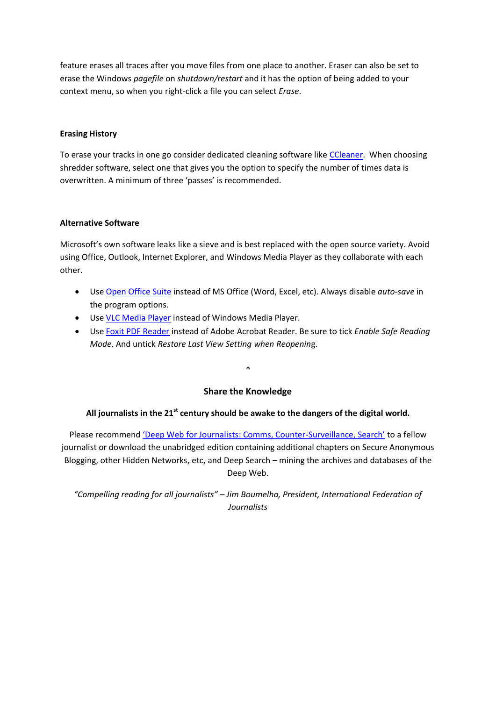feature erases all traces after you move files from one place to another. Eraser can also be set to erase the Windows *pagefile* on *shutdown/restart* and it has the option of being added to your context menu, so when you right-click a file you can select *Erase*.

# <span id="page-28-0"></span>**Erasing History**

To erase your tracks in one go consider dedicated cleaning software like [CCleaner.](http://www.piriform.com/ccleaner) When choosing shredder software, select one that gives you the option to specify the number of times data is overwritten. A minimum of three 'passes' is recommended.

# <span id="page-28-1"></span>**Alternative Software**

Microsoft's own software leaks like a sieve and is best replaced with the open source variety. Avoid using Office, Outlook, Internet Explorer, and Windows Media Player as they collaborate with each other.

- Use [Open Office Suite](http://www.openoffice.org/) instead of MS Office (Word, Excel, etc). Always disable *auto-save* in the program options.
- Use [VLC Media Player](http://www.videolan.org/) instead of Windows Media Player.
- Use [Foxit PDF Reader](http://www.foxitsoftware.com/pdf/reader_2/down_reader.htm) instead of Adobe Acrobat Reader. Be sure to tick *Enable Safe Reading Mode*. And untick *Restore Last View Setting when Reopenin*g.

# **Share the Knowledge**

\*

# <span id="page-28-2"></span>**All journalists in the 21st century should be awake to the dangers of the digital world.**

Please recommend ['Deep Web for Journalists: Comms, Counter](http://www.deepwebguides.com/html/deep_web_for_journalists.html)-Surveillance, Search' to a fellow journalist or download the unabridged edition containing additional chapters on Secure Anonymous Blogging, other Hidden Networks, etc, and Deep Search – mining the archives and databases of the Deep Web.

*"Compelling reading for all journalists" – Jim Boumelha, President, International Federation of Journalists*